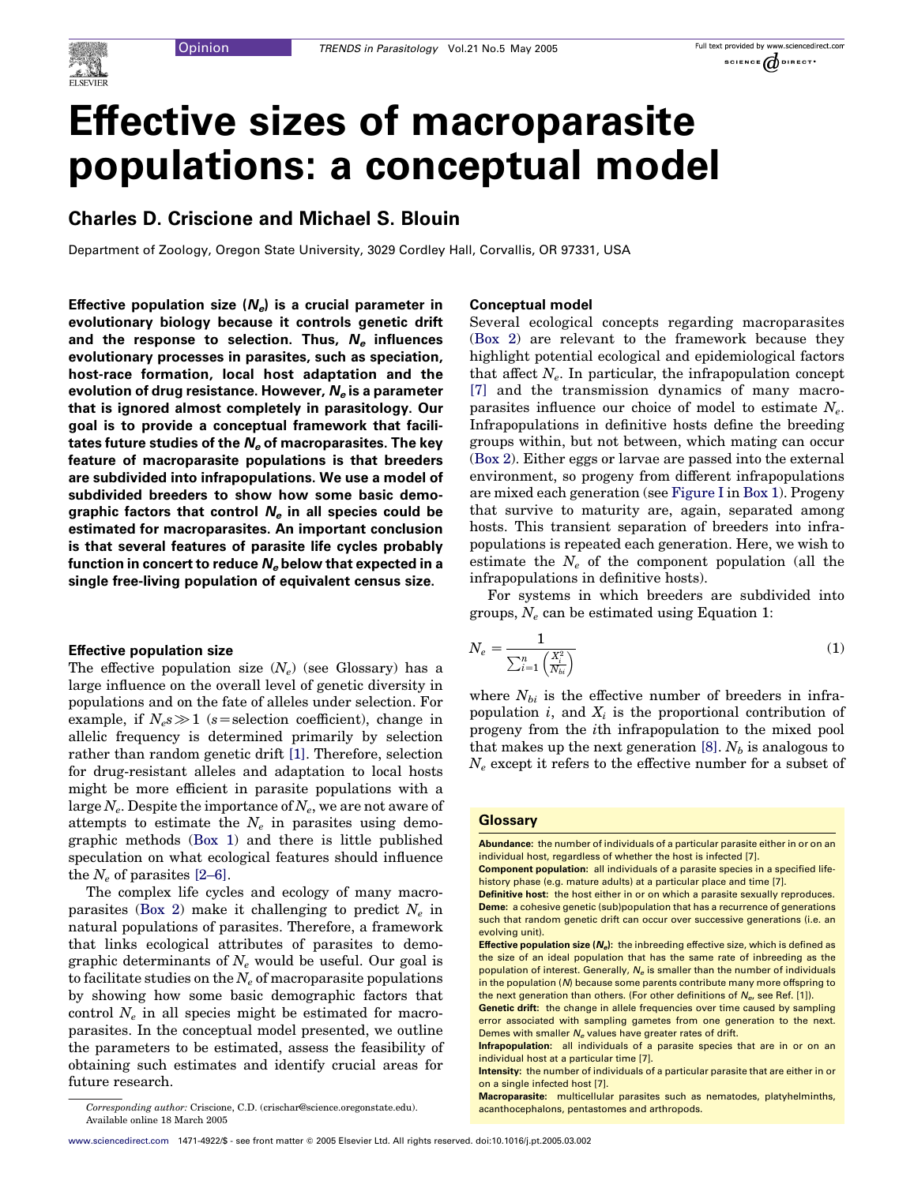

# Effective sizes of macroparasite populations: a conceptual model

## Charles D. Criscione and Michael S. Blouin

Department of Zoology, Oregon State University, 3029 Cordley Hall, Corvallis, OR 97331, USA

Effective population size  $(N_e)$  is a crucial parameter in evolutionary biology because it controls genetic drift and the response to selection. Thus,  $N_e$  influences evolutionary processes in parasites, such as speciation, host-race formation, local host adaptation and the evolution of drug resistance. However,  $N_e$  is a parameter that is ignored almost completely in parasitology. Our goal is to provide a conceptual framework that facilitates future studies of the  $N_e$  of macroparasites. The key feature of macroparasite populations is that breeders are subdivided into infrapopulations. We use a model of subdivided breeders to show how some basic demographic factors that control  $N_e$  in all species could be estimated for macroparasites. An important conclusion is that several features of parasite life cycles probably function in concert to reduce  $N_e$  below that expected in a single free-living population of equivalent census size.

## Effective population size

The effective population size  $(N_e)$  (see Glossary) has a large influence on the overall level of genetic diversity in populations and on the fate of alleles under selection. For example, if  $N_e s \gg 1$  (s=selection coefficient), change in allelic frequency is determined primarily by selection rather than random genetic drift [\[1\].](#page-4-0) Therefore, selection for drug-resistant alleles and adaptation to local hosts might be more efficient in parasite populations with a large  $N_e$ . Despite the importance of  $N_e$ , we are not aware of attempts to estimate the  $N_e$  in parasites using demographic methods (Box 1) and there is little published speculation on what ecological features should influence the  $N_e$  of parasites [\[2–6\]](#page-4-0).

The complex life cycles and ecology of many macroparasites (Box 2) make it challenging to predict  $N_e$  in natural populations of parasites. Therefore, a framework that links ecological attributes of parasites to demographic determinants of  $N_e$  would be useful. Our goal is to facilitate studies on the  $N_e$  of macroparasite populations by showing how some basic demographic factors that control  $N_e$  in all species might be estimated for macroparasites. In the conceptual model presented, we outline the parameters to be estimated, assess the feasibility of obtaining such estimates and identify crucial areas for future research.

## Conceptual model

Several ecological concepts regarding macroparasites (Box 2) are relevant to the framework because they highlight potential ecological and epidemiological factors that affect  $N_e$ . In particular, the infrapopulation concept [\[7\]](#page-5-0) and the transmission dynamics of many macroparasites influence our choice of model to estimate  $N_e$ . Infrapopulations in definitive hosts define the breeding groups within, but not between, which mating can occur (Box 2). Either eggs or larvae are passed into the external environment, so progeny from different infrapopulations are mixed each generation (see [Figure I](#page-1-0) in Box 1). Progeny that survive to maturity are, again, separated among hosts. This transient separation of breeders into infrapopulations is repeated each generation. Here, we wish to estimate the  $N_e$  of the component population (all the infrapopulations in definitive hosts).

For systems in which breeders are subdivided into groups,  $N_e$  can be estimated using Equation 1:

$$
N_e = \frac{1}{\sum_{i=1}^n \left(\frac{X_i^2}{N_{bi}}\right)}\tag{1}
$$

where  $N_{bi}$  is the effective number of breeders in infrapopulation i, and  $X_i$  is the proportional contribution of progeny from the ith infrapopulation to the mixed pool that makes up the next generation [\[8\]](#page-5-0).  $N_b$  is analogous to  $N_e$  except it refers to the effective number for a subset of

## **Glossarv**

Abundance: the number of individuals of a particular parasite either in or on an individual host, regardless of whether the host is infected [7]. Component population: all individuals of a parasite species in a specified lifehistory phase (e.g. mature adults) at a particular place and time [7]. Definitive host: the host either in or on which a parasite sexually reproduces. Deme: a cohesive genetic (sub)population that has a recurrence of generations such that random genetic drift can occur over successive generations (i.e. an evolving unit). **Effective population size**  $(N_1)$ **:** the inbreeding effective size, which is defined as the size of an ideal population that has the same rate of inbreeding as the population of interest. Generally,  $N_e$  is smaller than the number of individuals in the population (N) because some parents contribute many more offspring to the next generation than others. (For other definitions of  $N<sub>a</sub>$ , see Ref. [1]). Genetic drift: the change in allele frequencies over time caused by sampling error associated with sampling gametes from one generation to the next. Demes with smaller  $N_e$  values have greater rates of drift.

Corresponding author: Criscione, C.D. (crischar@science.oregonstate.edu). acanthocephalons, pentastomes and arthropods. Available online 18 March 2005

Infrapopulation: all individuals of a parasite species that are in or on an individual host at a particular time [7].

Intensity: the number of individuals of a particular parasite that are either in or on a single infected host [7].

Macroparasite: multicellular parasites such as nematodes, platyhelminths,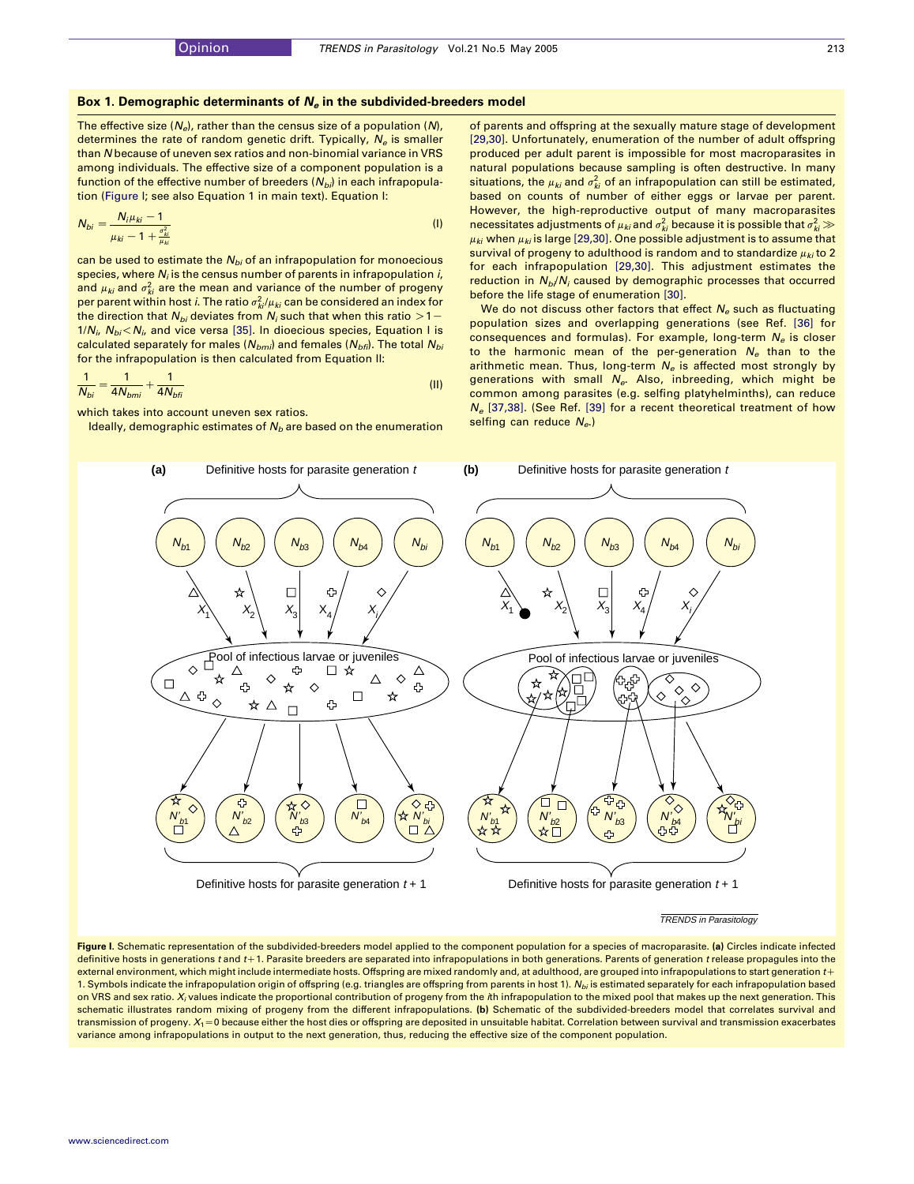### <span id="page-1-0"></span>Box 1. Demographic determinants of  $N_e$  in the subdivided-breeders model

The effective size  $(N_e)$ , rather than the census size of a population  $(N)$ , determines the rate of random genetic drift. Typically,  $N_e$  is smaller than N because of uneven sex ratios and non-binomial variance in VRS among individuals. The effective size of a component population is a function of the effective number of breeders  $(N_{bi})$  in each infrapopulation (Figure I; see also Equation 1 in main text). Equation I:

$$
N_{bi} = \frac{N_i \mu_{ki} - 1}{\mu_{ki} - 1 + \frac{\sigma_{ki}^2}{\mu_{ki}}}
$$
 (1)

can be used to estimate the  $N_{bi}$  of an infrapopulation for monoecious species, where  $N_i$  is the census number of parents in infrapopulation  $i$ , and  $\mu_{ki}$  and  $\sigma_{ki}^2$  are the mean and variance of the number of progeny per parent within host *i*. The ratio  $\sigma_{kl}^2/\mu_{kl}$  can be considered an index for the direction that  $N_{bi}$  deviates from  $N_i$  such that when this ratio  $>1$  –  $1/N_i$ ,  $N_{bi}$  <  $N_i$ , and vice versa [\[35\]](#page-5-0). In dioecious species, Equation I is calculated separately for males ( $N_{bmi}$ ) and females ( $N_{bfi}$ ). The total  $N_{bi}$ for the infrapopulation is then calculated from Equation II:

$$
\frac{1}{N_{bi}} = \frac{1}{4N_{bmi}} + \frac{1}{4N_{bfi}}
$$
 (II)

which takes into account uneven sex ratios.

Ideally, demographic estimates of  $N_b$  are based on the enumeration

of parents and offspring at the sexually mature stage of development [\[29,30\]](#page-5-0). Unfortunately, enumeration of the number of adult offspring produced per adult parent is impossible for most macroparasites in natural populations because sampling is often destructive. In many situations, the  $\mu_{\mathit{ki}}$  and  $\sigma_{\mathit{ki}}^2$  of an infrapopulation can still be estimated, based on counts of number of either eggs or larvae per parent. However, the high-reproductive output of many macroparasites necessitates adjustments of  $\mu_{ki}$  and  $\sigma_{ki}^2$  because it is possible that  $\sigma_{ki}^2$   $\gg$  $\mu_{ki}$  when  $\mu_{ki}$  is large [\[29,30\]](#page-5-0). One possible adjustment is to assume that survival of progeny to adulthood is random and to standardize  $\mu_{ki}$  to 2 for each infrapopulation [\[29,30\]](#page-5-0). This adjustment estimates the reduction in  $N_b/N_i$  caused by demographic processes that occurred before the life stage of enumeration [\[30\].](#page-5-0)

We do not discuss other factors that effect  $N_e$  such as fluctuating population sizes and overlapping generations (see Ref. [\[36\]](#page-5-0) for consequences and formulas). For example, long-term  $N_e$  is closer to the harmonic mean of the per-generation  $N_e$  than to the arithmetic mean. Thus, long-term  $N_e$  is affected most strongly by generations with small  $N_{e}$ . Also, inbreeding, which might be common among parasites (e.g. selfing platyhelminths), can reduce  $N_e$  [\[37,38\]](#page-5-0). (See Ref. [\[39\]](#page-5-0) for a recent theoretical treatment of how selfing can reduce  $N_{e}$ .)



#### TRENDS in Parasitology

Figure I. Schematic representation of the subdivided-breeders model applied to the component population for a species of macroparasite. (a) Circles indicate infected definitive hosts in generations t and t+1. Parasite breeders are separated into infrapopulations in both generations. Parents of generation t release propagules into the external environment, which might include intermediate hosts. Offspring are mixed randomly and, at adulthood, are grouped into infrapopulations to start generation  $t<sub>+</sub>$ 1. Symbols indicate the infrapopulation origin of offspring (e.g. triangles are offspring from parents in host 1).  $N_{bi}$  is estimated separately for each infrapopulation based on VRS and sex ratio. X<sub>i</sub> values indicate the proportional contribution of progeny from the *i*th infrapopulation to the mixed pool that makes up the next generation. This schematic illustrates random mixing of progeny from the different infrapopulations. (b) Schematic of the subdivided-breeders model that correlates survival and transmission of progeny.  $X_1 = 0$  because either the host dies or offspring are deposited in unsuitable habitat. Correlation between survival and transmission exacerbates variance among infrapopulations in output to the next generation, thus, reducing the effective size of the component population.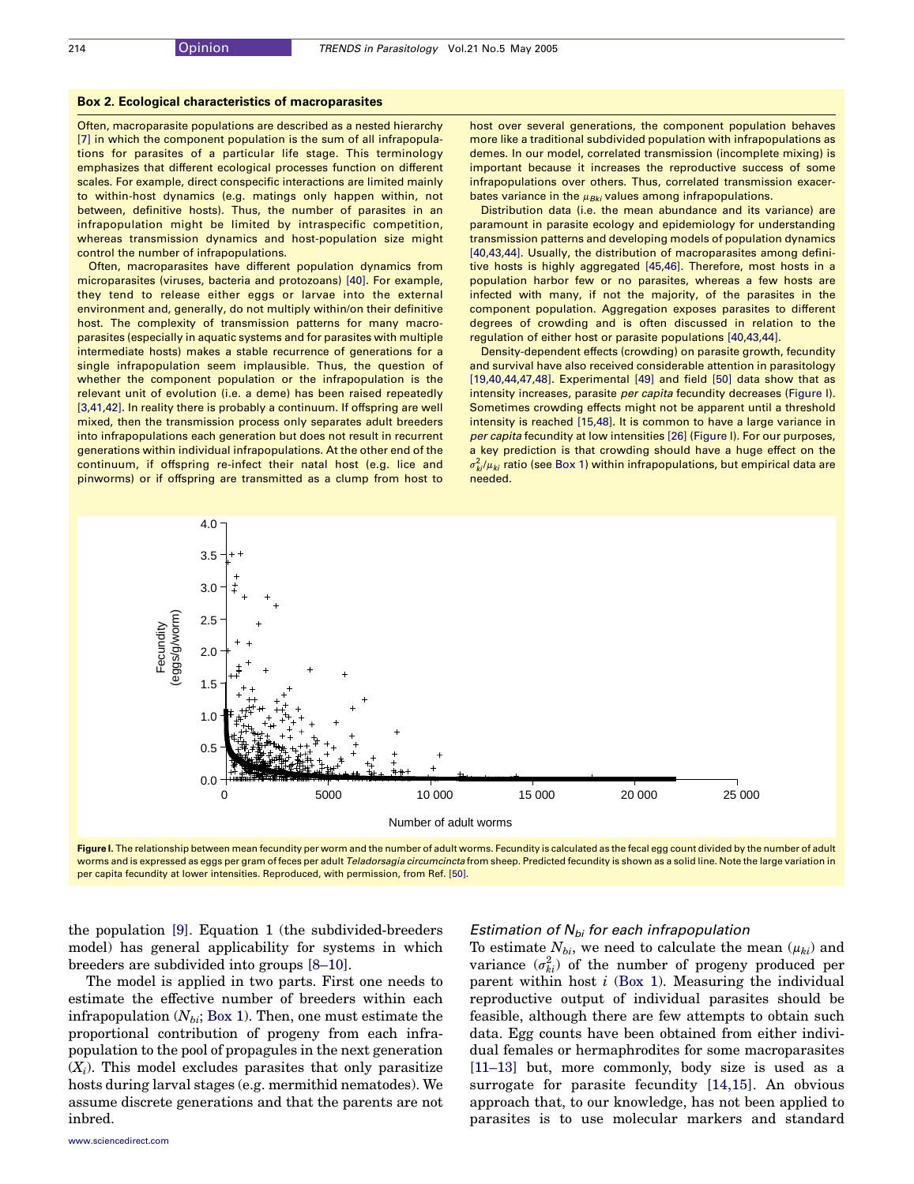#### <span id="page-2-0"></span>Box 2. Ecological characteristics of macroparasites

Often, macroparasite populations are described as a nested hierarchy [\[7\]](#page-5-0) in which the component population is the sum of all infrapopulations for parasites of a particular life stage. This terminology emphasizes that different ecological processes function on different scales. For example, direct conspecific interactions are limited mainly to within-host dynamics (e.g. matings only happen within, not between, definitive hosts). Thus, the number of parasites in an infrapopulation might be limited by intraspecific competition, whereas transmission dynamics and host-population size might control the number of infrapopulations.

Often, macroparasites have different population dynamics from microparasites (viruses, bacteria and protozoans) [\[40\]](#page-5-0). For example, they tend to release either eggs or larvae into the external environment and, generally, do not multiply within/on their definitive host. The complexity of transmission patterns for many macroparasites (especially in aquatic systems and for parasites with multiple intermediate hosts) makes a stable recurrence of generations for a single infrapopulation seem implausible. Thus, the question of whether the component population or the infrapopulation is the relevant unit of evolution (i.e. a deme) has been raised repeatedly [\[3,41,42\].](#page-5-0) In reality there is probably a continuum. If offspring are well mixed, then the transmission process only separates adult breeders into infrapopulations each generation but does not result in recurrent generations within individual infrapopulations. At the other end of the continuum, if offspring re-infect their natal host (e.g. lice and pinworms) or if offspring are transmitted as a clump from host to host over several generations, the component population behaves more like a traditional subdivided population with infrapopulations as demes. In our model, correlated transmission (incomplete mixing) is important because it increases the reproductive success of some infrapopulations over others. Thus, correlated transmission exacerbates variance in the  $\mu_{Bki}$  values among infrapopulations.

Distribution data (i.e. the mean abundance and its variance) are paramount in parasite ecology and epidemiology for understanding transmission patterns and developing models of population dynamics [\[40,43,44\].](#page-5-0) Usually, the distribution of macroparasites among definitive hosts is highly aggregated [\[45,46\]](#page-5-0). Therefore, most hosts in a population harbor few or no parasites, whereas a few hosts are infected with many, if not the majority, of the parasites in the component population. Aggregation exposes parasites to different degrees of crowding and is often discussed in relation to the regulation of either host or parasite populations [\[40,43,44\]](#page-5-0).

Density-dependent effects (crowding) on parasite growth, fecundity and survival have also received considerable attention in parasitology  $[19,40,44,47,48]$ . Experimental  $[49]$  and field  $[50]$  data show that as intensity increases, parasite per capita fecundity decreases (Figure I). Sometimes crowding effects might not be apparent until a threshold intensity is reached [\[15,48\]](#page-5-0). It is common to have a large variance in per capita fecundity at low intensities [\[26\]](#page-5-0) (Figure I). For our purposes, a key prediction is that crowding should have a huge effect on the  $\sigma_{ki}^2/\mu_{ki}$  ratio (see Box 1) within infrapopulations, but empirical data are needed.



Figure I. The relationship between mean fecundity per worm and the number of adult worms. Fecundity is calculated as the fecal egg count divided by the number of adult worms and is expressed as eggs per gram of feces per adult Teladorsagia circumcincta from sheep. Predicted fecundity is shown as a solid line. Note the large variation in per capita fecundity at lower intensities. Reproduced, with permission, from Ref. [\[50\]](#page-5-0).

the population [\[9\].](#page-5-0) Equation 1 (the subdivided-breeders model) has general applicability for systems in which breeders are subdivided into groups [\[8–10\]](#page-5-0).

## The model is applied in two parts. First one needs to estimate the effective number of breeders within each infrapopulation  $(N_{bi}; Box 1)$ . Then, one must estimate the proportional contribution of progeny from each infrapopulation to the pool of propagules in the next generation  $(X_i)$ . This model excludes parasites that only parasitize hosts during larval stages (e.g. mermithid nematodes). We assume discrete generations and that the parents are not inbred.

## Estimation of  $N_{bi}$  for each infrapopulation

To estimate  $N_{bi}$ , we need to calculate the mean  $(\mu_{ki})$  and variance  $(\sigma_{ki}^2)$  of the number of progeny produced per parent within host  $i$  (Box 1). Measuring the individual reproductive output of individual parasites should be feasible, although there are few attempts to obtain such data. Egg counts have been obtained from either individual females or hermaphrodites for some macroparasites [\[11–13\]](#page-5-0) but, more commonly, body size is used as a surrogate for parasite fecundity [\[14,15\]](#page-5-0). An obvious approach that, to our knowledge, has not been applied to parasites is to use molecular markers and standard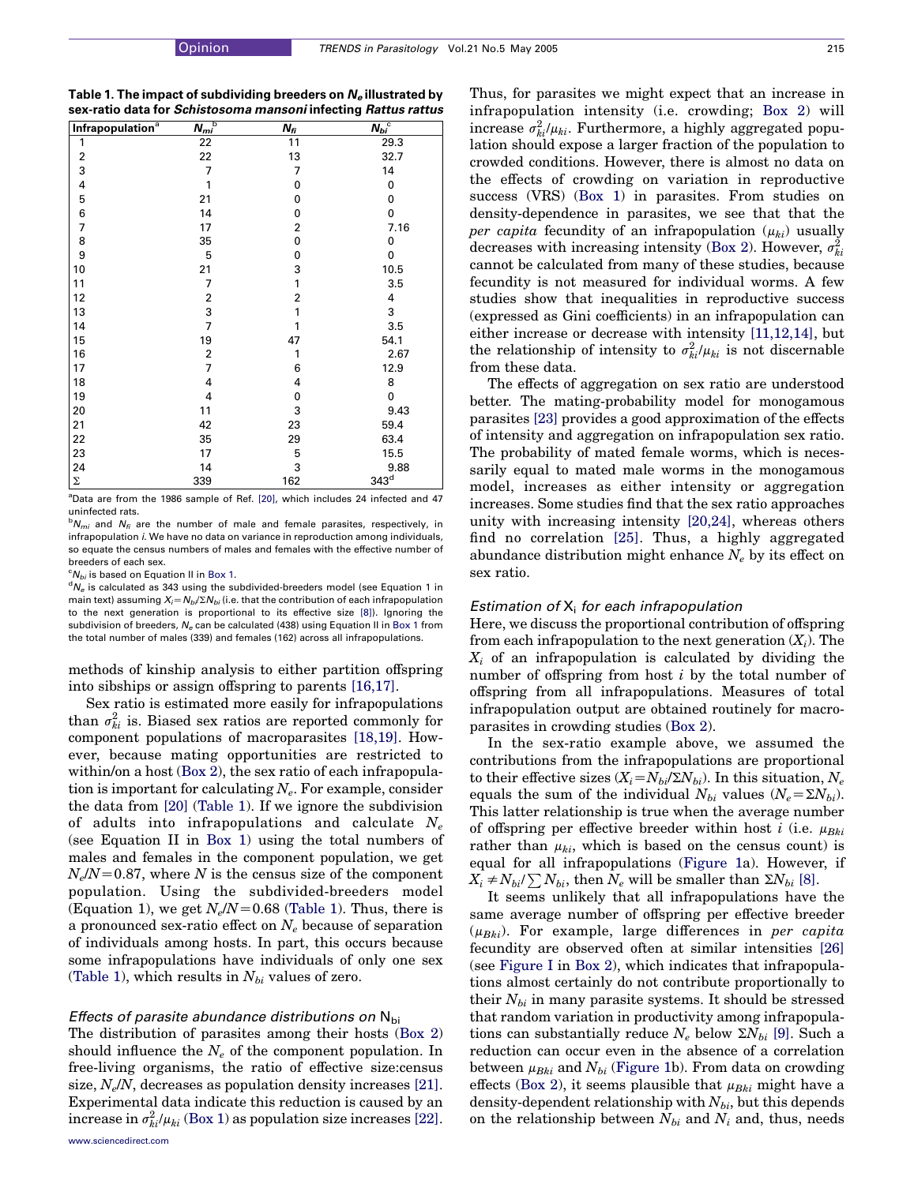| Table 1. The impact of subdividing breeders on $N_e$ illustrated by |
|---------------------------------------------------------------------|
| sex-ratio data for Schistosoma mansoni infecting Rattus rattus      |

| Infrapopulation <sup>a</sup> | $N_{mi}$ <sup>b</sup>   | $N_{fi}$ | $N_{bi}$ <sup>c</sup> |
|------------------------------|-------------------------|----------|-----------------------|
| 1                            | 22                      | 11       | 29.3                  |
| 2                            | 22                      | 13       | 32.7                  |
| 3                            | 7                       | 7        | 14                    |
| 4                            | 1                       | 0        | 0                     |
| 5                            | 21                      | 0        | 0                     |
| 6                            | 14                      | 0        | 0                     |
| 7                            | 17                      | 2        | 7.16                  |
| 8                            | 35                      | 0        | 0                     |
| 9                            | 5                       | 0        | 0                     |
| 10                           | 21                      | 3        | 10.5                  |
| 11                           | 7                       | 1        | 3.5                   |
| 12                           | $\overline{\mathbf{c}}$ | 2        | 4                     |
| 13                           | 3                       | 1        | 3                     |
| 14                           | 7                       | 1        | 3.5                   |
| 15                           | 19                      | 47       | 54.1                  |
| 16                           | $\overline{\mathbf{c}}$ | 1        | 2.67                  |
| 17                           | $\overline{7}$          | 6        | 12.9                  |
| 18                           | 4                       | 4        | 8                     |
| 19                           | 4                       | 0        | 0                     |
| 20                           | 11                      | 3        | 9.43                  |
| 21                           | 42                      | 23       | 59.4                  |
| 22                           | 35                      | 29       | 63.4                  |
| 23                           | 17                      | 5        | 15.5                  |
| 24                           | 14                      | 3        | 9.88                  |
| $\Sigma$                     | 339                     | 162      | $343^{\rm d}$         |

<sup>a</sup>Data are from the 1986 sample of Ref. [\[20\]](#page-5-0), which includes 24 infected and 47 uninfected rats.

 $b_{i}N_{mi}$  and  $N_{fi}$  are the number of male and female parasites, respectively, in infrapopulation *i*. We have no data on variance in reproduction among individuals, so equate the census numbers of males and females with the effective number of breeders of each sex.

 ${}^cN_{bi}$  is based on Equation II in Box 1.

 ${}^{d}N_{e}$  is calculated as 343 using the subdivided-breeders model (see Equation 1 in main text) assuming  $X_i = N_{bi}/\Sigma N_{bi}$  (i.e. that the contribution of each infrapopulation to the next generation is proportional to its effective size [\[8\]](#page-5-0)). Ignoring the subdivision of breeders,  $N<sub>e</sub>$  can be calculated (438) using Equation II in Box 1 from the total number of males (339) and females (162) across all infrapopulations.

methods of kinship analysis to either partition offspring into sibships or assign offspring to parents [\[16,17\]](#page-5-0).

Sex ratio is estimated more easily for infrapopulations than  $\sigma_{ki}^2$  is. Biased sex ratios are reported commonly for component populations of macroparasites [\[18,19\].](#page-5-0) However, because mating opportunities are restricted to within/on a host (Box 2), the sex ratio of each infrapopulation is important for calculating  $N_e$ . For example, consider the data from [\[20\]](#page-5-0) (Table 1). If we ignore the subdivision of adults into infrapopulations and calculate  $N_e$ (see Equation II in Box 1) using the total numbers of males and females in the component population, we get  $N_e/N$ =0.87, where N is the census size of the component population. Using the subdivided-breeders model (Equation 1), we get  $N_e/N=0.68$  (Table 1). Thus, there is a pronounced sex-ratio effect on  $N_e$  because of separation of individuals among hosts. In part, this occurs because some infrapopulations have individuals of only one sex (Table 1), which results in  $N_{bi}$  values of zero.

## Effects of parasite abundance distributions on  $N_{\text{bi}}$

The distribution of parasites among their hosts (Box 2) should influence the  $N_e$  of the component population. In free-living organisms, the ratio of effective size:census size,  $N_e/N$ , decreases as population density increases [\[21\]](#page-5-0). Experimental data indicate this reduction is caused by an increase in  $\sigma_{ki}^2/\mu_{ki}$  (Box 1) as population size increases [\[22\]](#page-5-0).

Thus, for parasites we might expect that an increase in infrapopulation intensity (i.e. crowding; Box 2) will increase  $\sigma_{ki}^2/\mu_{ki}$ . Furthermore, a highly aggregated population should expose a larger fraction of the population to crowded conditions. However, there is almost no data on the effects of crowding on variation in reproductive success (VRS) (Box 1) in parasites. From studies on density-dependence in parasites, we see that that the per capita fecundity of an infrapopulation  $(\mu_{ki})$  usually decreases with increasing intensity (Box 2). However,  $\sigma_{ki}^2$ cannot be calculated from many of these studies, because fecundity is not measured for individual worms. A few studies show that inequalities in reproductive success (expressed as Gini coefficients) in an infrapopulation can either increase or decrease with intensity [\[11,12,14\]](#page-5-0), but the relationship of intensity to  $\sigma_{ki}^2/\mu_{ki}$  is not discernable from these data.

The effects of aggregation on sex ratio are understood better. The mating-probability model for monogamous parasites [\[23\]](#page-5-0) provides a good approximation of the effects of intensity and aggregation on infrapopulation sex ratio. The probability of mated female worms, which is necessarily equal to mated male worms in the monogamous model, increases as either intensity or aggregation increases. Some studies find that the sex ratio approaches unity with increasing intensity [\[20,24\]](#page-5-0), whereas others find no correlation [\[25\]](#page-5-0). Thus, a highly aggregated abundance distribution might enhance  $N_e$  by its effect on sex ratio.

#### Estimation of  $X_i$  for each infrapopulation

Here, we discuss the proportional contribution of offspring from each infrapopulation to the next generation  $(X_i)$ . The  $X_i$  of an infrapopulation is calculated by dividing the number of offspring from host *i* by the total number of offspring from all infrapopulations. Measures of total infrapopulation output are obtained routinely for macroparasites in crowding studies (Box 2).

In the sex-ratio example above, we assumed the contributions from the infrapopulations are proportional to their effective sizes  $(X_i = N_{bi} / \Sigma N_{bi})$ . In this situation,  $N_e$ equals the sum of the individual  $N_{bi}$  values  $(N_e = \Sigma N_{bi})$ . This latter relationship is true when the average number of offspring per effective breeder within host i (i.e.  $\mu_{Bki}$ rather than  $\mu_{ki}$ , which is based on the census count) is equal for all infrapopulations [\(Figure 1a](#page-4-0)). However, if  $X_i \neq N_{bi}/\sum N_{bi}$ , then  $N_e$  will be smaller than  $\Sigma N_{bi}$  [\[8\].](#page-5-0)

It seems unlikely that all infrapopulations have the same average number of offspring per effective breeder  $(\mu_{Bki})$ . For example, large differences in per capita fecundity are observed often at similar intensities [\[26\]](#page-5-0) (see [Figure I](#page-2-0) in Box 2), which indicates that infrapopulations almost certainly do not contribute proportionally to their  $N_{bi}$  in many parasite systems. It should be stressed that random variation in productivity among infrapopulations can substantially reduce  $N_e$  below  $\Sigma N_{bi}$  [\[9\]](#page-5-0). Such a reduction can occur even in the absence of a correlation between  $\mu_{Bki}$  and  $N_{bi}$  ([Figure 1b](#page-4-0)). From data on crowding effects (Box 2), it seems plausible that  $\mu_{Bki}$  might have a density-dependent relationship with  $N_{bi}$ , but this depends on the relationship between  $N_{bi}$  and  $N_i$  and, thus, needs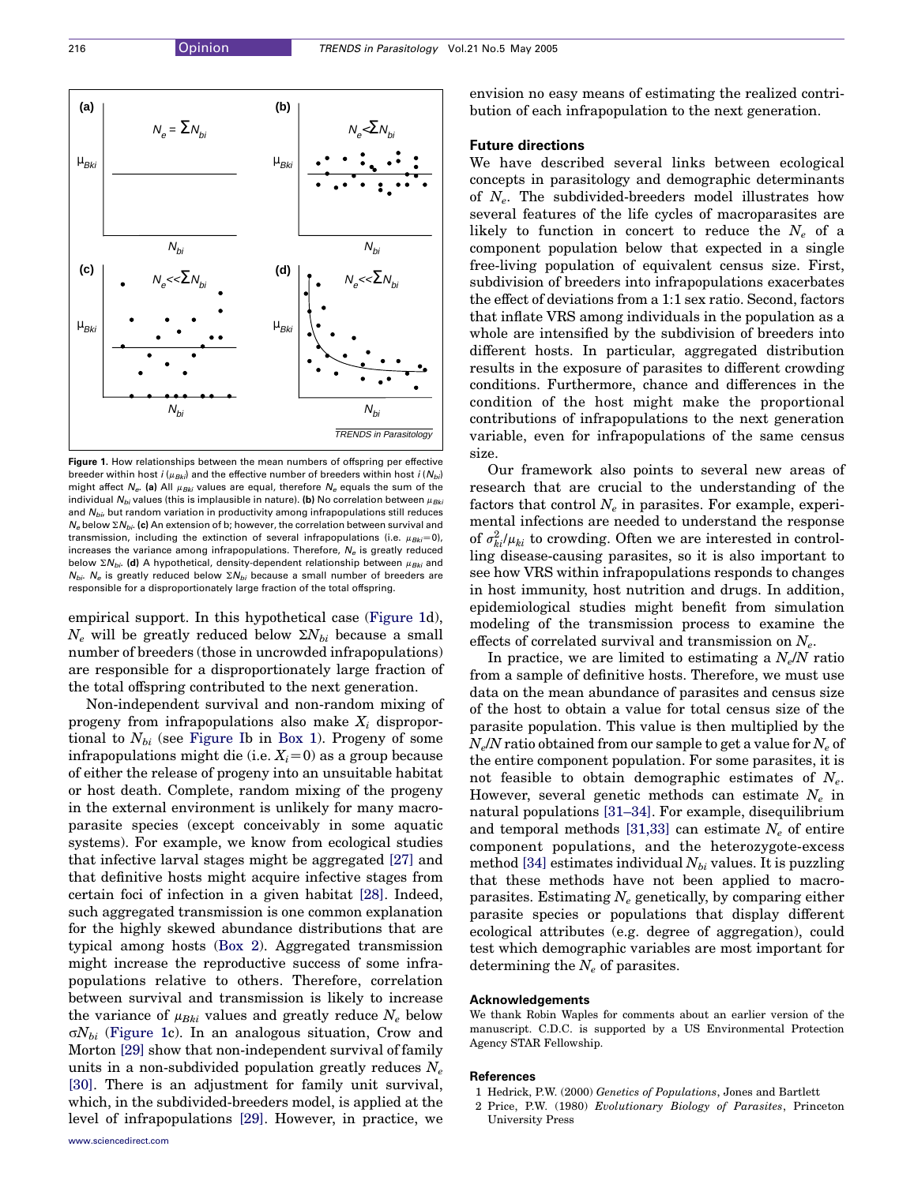<span id="page-4-0"></span>

Figure 1. How relationships between the mean numbers of offspring per effective breeder within host  $i$  ( $u_{Bk}$ ) and the effective number of breeders within host  $i$  ( $N_{bi}$ ) might affect  $N_e$ . (a) All  $\mu_{Bki}$  values are equal, therefore  $N_e$  equals the sum of the individual  $N_{bi}$  values (this is implausible in nature). (b) No correlation between  $\mu_{Bki}$ and  $N_{\text{b}i}$ , but random variation in productivity among infrapopulations still reduces  $N_e$  below  $\Sigma N_{b}$ . (c) An extension of b; however, the correlation between survival and transmission, including the extinction of several infrapopulations (i.e.  $\mu_{Bk,i}=0$ ), increases the variance among infrapopulations. Therefore,  $N<sub>e</sub>$  is greatly reduced below  $\Sigma N_{bi}$ . (d) A hypothetical, density-dependent relationship between  $\mu_{Bki}$  and  $N_{\text{bh}}$ . N<sub>o</sub> is greatly reduced below  $\Sigma N_{\text{bh}}$  because a small number of breeders are responsible for a disproportionately large fraction of the total offspring.

empirical support. In this hypothetical case (Figure 1d),  $N_e$  will be greatly reduced below  $\Sigma N_{bi}$  because a small number of breeders (those in uncrowded infrapopulations) are responsible for a disproportionately large fraction of the total offspring contributed to the next generation.

Non-independent survival and non-random mixing of progeny from infrapopulations also make  $X_i$  disproportional to  $N_{bi}$  (see [Figure I](#page-1-0)b in Box 1). Progeny of some infrapopulations might die (i.e.  $X_i=0$ ) as a group because of either the release of progeny into an unsuitable habitat or host death. Complete, random mixing of the progeny in the external environment is unlikely for many macroparasite species (except conceivably in some aquatic systems). For example, we know from ecological studies that infective larval stages might be aggregated [\[27\]](#page-5-0) and that definitive hosts might acquire infective stages from certain foci of infection in a given habitat [\[28\]](#page-5-0). Indeed, such aggregated transmission is one common explanation for the highly skewed abundance distributions that are typical among hosts (Box 2). Aggregated transmission might increase the reproductive success of some infrapopulations relative to others. Therefore, correlation between survival and transmission is likely to increase the variance of  $\mu_{Bki}$  values and greatly reduce  $N_e$  below  $\sigma N_{bi}$  (Figure 1c). In an analogous situation, Crow and Morton [\[29\]](#page-5-0) show that non-independent survival of family units in a non-subdivided population greatly reduces  $N_e$ [\[30\].](#page-5-0) There is an adjustment for family unit survival, which, in the subdivided-breeders model, is applied at the level of infrapopulations [\[29\].](#page-5-0) However, in practice, we

[www.sciencedirect.com](http://www.sciencedirect.com)

envision no easy means of estimating the realized contribution of each infrapopulation to the next generation.

## Future directions

We have described several links between ecological concepts in parasitology and demographic determinants of  $N_e$ . The subdivided-breeders model illustrates how several features of the life cycles of macroparasites are likely to function in concert to reduce the  $N_e$  of a component population below that expected in a single free-living population of equivalent census size. First, subdivision of breeders into infrapopulations exacerbates the effect of deviations from a 1:1 sex ratio. Second, factors that inflate VRS among individuals in the population as a whole are intensified by the subdivision of breeders into different hosts. In particular, aggregated distribution results in the exposure of parasites to different crowding conditions. Furthermore, chance and differences in the condition of the host might make the proportional contributions of infrapopulations to the next generation variable, even for infrapopulations of the same census size.

Our framework also points to several new areas of research that are crucial to the understanding of the factors that control  $N_e$  in parasites. For example, experimental infections are needed to understand the response of  $\sigma_{ki}^2/\mu_{ki}$  to crowding. Often we are interested in controlling disease-causing parasites, so it is also important to see how VRS within infrapopulations responds to changes in host immunity, host nutrition and drugs. In addition, epidemiological studies might benefit from simulation modeling of the transmission process to examine the effects of correlated survival and transmission on  $N_e$ .

In practice, we are limited to estimating a  $N_e/N$  ratio from a sample of definitive hosts. Therefore, we must use data on the mean abundance of parasites and census size of the host to obtain a value for total census size of the parasite population. This value is then multiplied by the  $N_e/N$  ratio obtained from our sample to get a value for  $N_e$  of the entire component population. For some parasites, it is not feasible to obtain demographic estimates of  $N_e$ . However, several genetic methods can estimate  $N_e$  in natural populations [\[31–34\].](#page-5-0) For example, disequilibrium and temporal methods [\[31,33\]](#page-5-0) can estimate  $N_e$  of entire component populations, and the heterozygote-excess method [\[34\]](#page-5-0) estimates individual  $N_{bi}$  values. It is puzzling that these methods have not been applied to macroparasites. Estimating  $N_e$  genetically, by comparing either parasite species or populations that display different ecological attributes (e.g. degree of aggregation), could test which demographic variables are most important for determining the  $N_e$  of parasites.

## Acknowledgements

We thank Robin Waples for comments about an earlier version of the manuscript. C.D.C. is supported by a US Environmental Protection Agency STAR Fellowship.

#### References

- 1 Hedrick, P.W. (2000) Genetics of Populations, Jones and Bartlett
- 2 Price, P.W. (1980) Evolutionary Biology of Parasites, Princeton University Press